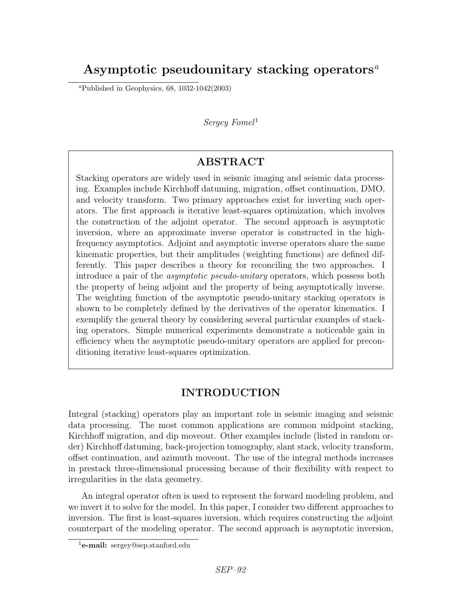# Asymptotic pseudounitary stacking operators<sup> $a$ </sup>

<sup>a</sup>Published in Geophysics,  $68$ ,  $1032-1042(2003)$ 

### $Serequ$  Fomel<sup>1</sup>

## ABSTRACT

Stacking operators are widely used in seismic imaging and seismic data processing. Examples include Kirchhoff datuming, migration, offset continuation, DMO, and velocity transform. Two primary approaches exist for inverting such operators. The first approach is iterative least-squares optimization, which involves the construction of the adjoint operator. The second approach is asymptotic inversion, where an approximate inverse operator is constructed in the highfrequency asymptotics. Adjoint and asymptotic inverse operators share the same kinematic properties, but their amplitudes (weighting functions) are defined differently. This paper describes a theory for reconciling the two approaches. I introduce a pair of the asymptotic pseudo-unitary operators, which possess both the property of being adjoint and the property of being asymptotically inverse. The weighting function of the asymptotic pseudo-unitary stacking operators is shown to be completely defined by the derivatives of the operator kinematics. I exemplify the general theory by considering several particular examples of stacking operators. Simple numerical experiments demonstrate a noticeable gain in efficiency when the asymptotic pseudo-unitary operators are applied for preconditioning iterative least-squares optimization.

## INTRODUCTION

Integral (stacking) operators play an important role in seismic imaging and seismic data processing. The most common applications are common midpoint stacking, Kirchhoff migration, and dip moveout. Other examples include (listed in random order) Kirchhoff datuming, back-projection tomography, slant stack, velocity transform, offset continuation, and azimuth moveout. The use of the integral methods increases in prestack three-dimensional processing because of their flexibility with respect to irregularities in the data geometry.

An integral operator often is used to represent the forward modeling problem, and we invert it to solve for the model. In this paper, I consider two different approaches to inversion. The first is least-squares inversion, which requires constructing the adjoint counterpart of the modeling operator. The second approach is asymptotic inversion,

 $1$ **e-mail:** sergey@sep.stanford.edu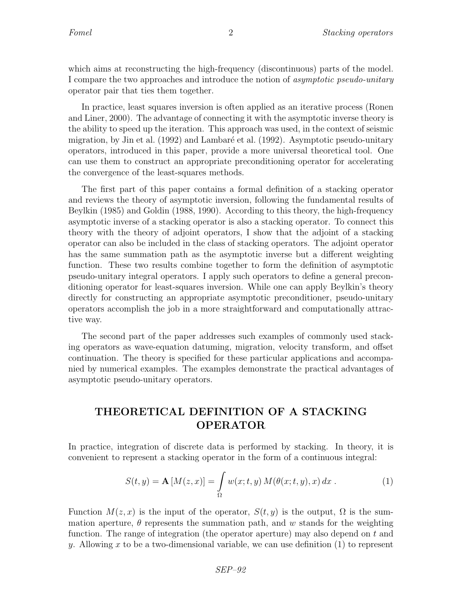which aims at reconstructing the high-frequency (discontinuous) parts of the model. I compare the two approaches and introduce the notion of asymptotic pseudo-unitary operator pair that ties them together.

In practice, least squares inversion is often applied as an iterative process (Ronen and Liner, 2000). The advantage of connecting it with the asymptotic inverse theory is the ability to speed up the iteration. This approach was used, in the context of seismic migration, by Jin et al. (1992) and Lambaré et al. (1992). Asymptotic pseudo-unitary operators, introduced in this paper, provide a more universal theoretical tool. One can use them to construct an appropriate preconditioning operator for accelerating the convergence of the least-squares methods.

The first part of this paper contains a formal definition of a stacking operator and reviews the theory of asymptotic inversion, following the fundamental results of Beylkin (1985) and Goldin (1988, 1990). According to this theory, the high-frequency asymptotic inverse of a stacking operator is also a stacking operator. To connect this theory with the theory of adjoint operators, I show that the adjoint of a stacking operator can also be included in the class of stacking operators. The adjoint operator has the same summation path as the asymptotic inverse but a different weighting function. These two results combine together to form the definition of asymptotic pseudo-unitary integral operators. I apply such operators to define a general preconditioning operator for least-squares inversion. While one can apply Beylkin's theory directly for constructing an appropriate asymptotic preconditioner, pseudo-unitary operators accomplish the job in a more straightforward and computationally attractive way.

The second part of the paper addresses such examples of commonly used stacking operators as wave-equation datuming, migration, velocity transform, and offset continuation. The theory is specified for these particular applications and accompanied by numerical examples. The examples demonstrate the practical advantages of asymptotic pseudo-unitary operators.

## THEORETICAL DEFINITION OF A STACKING OPERATOR

In practice, integration of discrete data is performed by stacking. In theory, it is convenient to represent a stacking operator in the form of a continuous integral:

$$
S(t,y) = \mathbf{A}[M(z,x)] = \int_{\Omega} w(x;t,y) M(\theta(x;t,y),x) dx .
$$
 (1)

Function  $M(z, x)$  is the input of the operator,  $S(t, y)$  is the output,  $\Omega$  is the summation aperture,  $\theta$  represents the summation path, and w stands for the weighting function. The range of integration (the operator aperture) may also depend on t and y. Allowing x to be a two-dimensional variable, we can use definition  $(1)$  to represent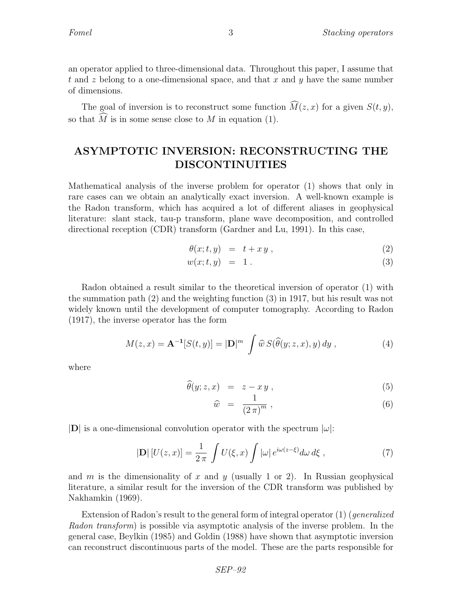an operator applied to three-dimensional data. Throughout this paper, I assume that t and z belong to a one-dimensional space, and that x and  $y$  have the same number of dimensions.

The goal of inversion is to reconstruct some function  $\widehat{M}(z, x)$  for a given  $S(t, y)$ , so that  $\tilde{M}$  is in some sense close to  $M$  in equation (1).

## ASYMPTOTIC INVERSION: RECONSTRUCTING THE DISCONTINUITIES

Mathematical analysis of the inverse problem for operator (1) shows that only in rare cases can we obtain an analytically exact inversion. A well-known example is the Radon transform, which has acquired a lot of different aliases in geophysical literature: slant stack, tau-p transform, plane wave decomposition, and controlled directional reception (CDR) transform (Gardner and Lu, 1991). In this case,

$$
\theta(x;t,y) = t + xy , \qquad (2)
$$

$$
w(x;t,y) = 1.
$$
\n<sup>(3)</sup>

Radon obtained a result similar to the theoretical inversion of operator (1) with the summation path (2) and the weighting function (3) in 1917, but his result was not widely known until the development of computer tomography. According to Radon (1917), the inverse operator has the form

$$
M(z,x) = \mathbf{A}^{-1}[S(t,y)] = |\mathbf{D}|^{m} \int \widehat{w} S(\widehat{\theta}(y;z,x),y) dy , \qquad (4)
$$

where

$$
\widehat{\theta}(y;z,x) = z - xy , \qquad (5)
$$

$$
\widehat{w} = \frac{1}{(2\pi)^m} \,, \tag{6}
$$

 $|\mathbf{D}|$  is a one-dimensional convolution operator with the spectrum  $|\omega|$ :

$$
|\mathbf{D}| \left[ U(z, x) \right] = \frac{1}{2\pi} \int U(\xi, x) \int |\omega| e^{i\omega(z - \xi)} d\omega d\xi , \qquad (7)
$$

and m is the dimensionality of x and y (usually 1 or 2). In Russian geophysical literature, a similar result for the inversion of the CDR transform was published by Nakhamkin (1969).

Extension of Radon's result to the general form of integral operator  $(1)$  (generalized Radon transform) is possible via asymptotic analysis of the inverse problem. In the general case, Beylkin (1985) and Goldin (1988) have shown that asymptotic inversion can reconstruct discontinuous parts of the model. These are the parts responsible for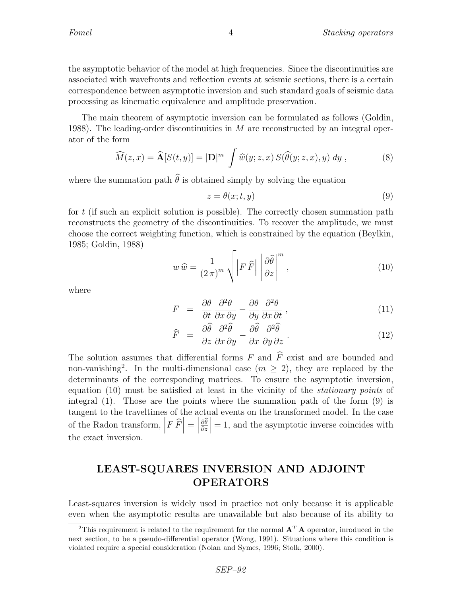the asymptotic behavior of the model at high frequencies. Since the discontinuities are associated with wavefronts and reflection events at seismic sections, there is a certain correspondence between asymptotic inversion and such standard goals of seismic data processing as kinematic equivalence and amplitude preservation.

The main theorem of asymptotic inversion can be formulated as follows (Goldin, 1988). The leading-order discontinuities in  $M$  are reconstructed by an integral operator of the form

$$
\widehat{M}(z,x) = \widehat{\mathbf{A}}[S(t,y)] = |\mathbf{D}|^{m} \int \widehat{w}(y;z,x) S(\widehat{\theta}(y;z,x),y) dy , \qquad (8)
$$

where the summation path  $\hat{\theta}$  is obtained simply by solving the equation

$$
z = \theta(x; t, y) \tag{9}
$$

for  $t$  (if such an explicit solution is possible). The correctly chosen summation path reconstructs the geometry of the discontinuities. To recover the amplitude, we must choose the correct weighting function, which is constrained by the equation (Beylkin, 1985; Goldin, 1988)

$$
w\,\widehat{w} = \frac{1}{(2\,\pi)^m} \sqrt{\left|F\,\widehat{F}\right| \left|\frac{\partial\widehat{\theta}}{\partial z}\right|^m},\tag{10}
$$

where

$$
F = \frac{\partial \theta}{\partial t} \frac{\partial^2 \theta}{\partial x \partial y} - \frac{\partial \theta}{\partial y} \frac{\partial^2 \theta}{\partial x \partial t}, \qquad (11)
$$

$$
\widehat{F} = \frac{\partial \widehat{\theta}}{\partial z} \frac{\partial^2 \widehat{\theta}}{\partial x \partial y} - \frac{\partial \widehat{\theta}}{\partial x} \frac{\partial^2 \widehat{\theta}}{\partial y \partial z}.
$$
\n(12)

The solution assumes that differential forms  $F$  and  $\hat{F}$  exist and are bounded and non-vanishing<sup>2</sup>. In the multi-dimensional case  $(m \geq 2)$ , they are replaced by the determinants of the corresponding matrices. To ensure the asymptotic inversion, equation (10) must be satisfied at least in the vicinity of the stationary points of integral (1). Those are the points where the summation path of the form (9) is tangent to the traveltimes of the actual events on the transformed model. In the case of the Radon transform,  $\left| F \hat{F} \right| = \begin{bmatrix} 1 & 0 \\ 0 & 1 \end{bmatrix}$  $\frac{\partial \theta}{\partial z}$  $= 1$ , and the asymptotic inverse coincides with the exact inversion.

## LEAST-SQUARES INVERSION AND ADJOINT OPERATORS

Least-squares inversion is widely used in practice not only because it is applicable even when the asymptotic results are unavailable but also because of its ability to

<sup>&</sup>lt;sup>2</sup>This requirement is related to the requirement for the normal  $\mathbf{A}^T \mathbf{A}$  operator, inroduced in the next section, to be a pseudo-differential operator (Wong, 1991). Situations where this condition is violated require a special consideration (Nolan and Symes, 1996; Stolk, 2000).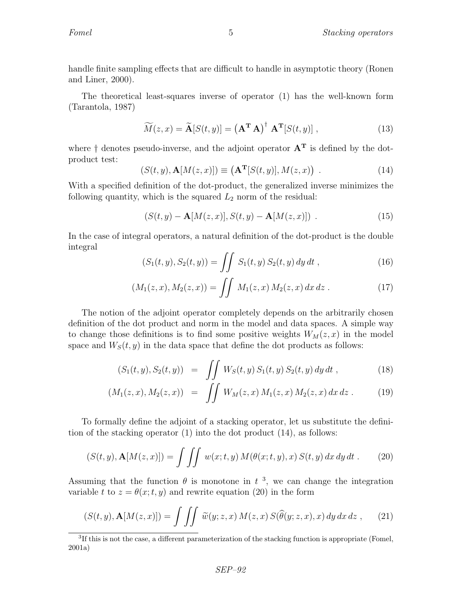handle finite sampling effects that are difficult to handle in asymptotic theory (Ronen and Liner, 2000).

The theoretical least-squares inverse of operator (1) has the well-known form (Tarantola, 1987)

$$
\widetilde{M}(z,x) = \widetilde{\mathbf{A}}[S(t,y)] = (\mathbf{A}^{\mathbf{T}} \mathbf{A})^{\dagger} \mathbf{A}^{\mathbf{T}}[S(t,y)], \qquad (13)
$$

where  $\dagger$  denotes pseudo-inverse, and the adjoint operator  $A<sup>T</sup>$  is defined by the dotproduct test:

$$
(S(t, y), \mathbf{A}[M(z, x)]) \equiv (\mathbf{A}^{\mathbf{T}}[S(t, y)], M(z, x)) .
$$
 (14)

With a specified definition of the dot-product, the generalized inverse minimizes the following quantity, which is the squared  $L_2$  norm of the residual:

$$
(S(t, y) - A[M(z, x)], S(t, y) - A[M(z, x)])
$$
 (15)

In the case of integral operators, a natural definition of the dot-product is the double integral

$$
(S_1(t, y), S_2(t, y)) = \iint S_1(t, y) S_2(t, y) dy dt , \qquad (16)
$$

$$
(M_1(z,x), M_2(z,x)) = \iint M_1(z,x) M_2(z,x) dx dz . \qquad (17)
$$

The notion of the adjoint operator completely depends on the arbitrarily chosen definition of the dot product and norm in the model and data spaces. A simple way to change those definitions is to find some positive weights  $W_M(z, x)$  in the model space and  $W<sub>S</sub>(t, y)$  in the data space that define the dot products as follows:

$$
(S_1(t, y), S_2(t, y)) = \iint_{c,c} W_S(t, y) S_1(t, y) S_2(t, y) dy dt,
$$
 (18)

$$
(M_1(z,x), M_2(z,x)) = \iint W_M(z,x) M_1(z,x) M_2(z,x) dx dz . \tag{19}
$$

To formally define the adjoint of a stacking operator, let us substitute the definition of the stacking operator (1) into the dot product (14), as follows:

$$
(S(t,y), \mathbf{A}[M(z,x)]) = \int \int \int w(x;t,y) M(\theta(x;t,y),x) S(t,y) dx dy dt.
$$
 (20)

Assuming that the function  $\theta$  is monotone in  $t^3$ , we can change the integration variable t to  $z = \theta(x; t, y)$  and rewrite equation (20) in the form

$$
(S(t,y), \mathbf{A}[M(z,x)]) = \iiint \widetilde{w}(y;z,x) M(z,x) S(\widehat{\theta}(y;z,x),x) dy dx dz , \qquad (21)
$$

<sup>&</sup>lt;sup>3</sup>If this is not the case, a different parameterization of the stacking function is appropriate (Fomel, 2001a)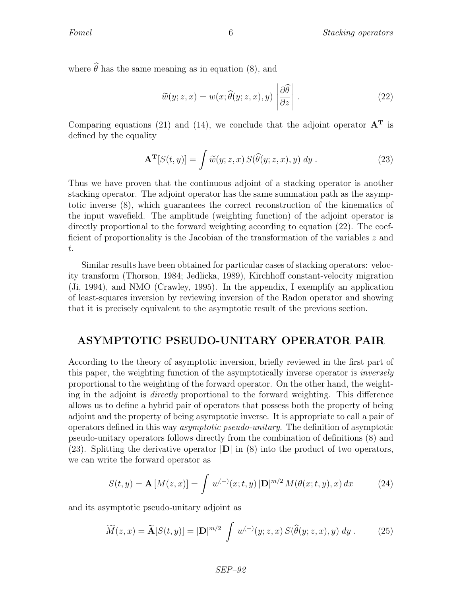where  $\hat{\theta}$  has the same meaning as in equation (8), and

$$
\widetilde{w}(y; z, x) = w(x; \widehat{\theta}(y; z, x), y) \left| \frac{\partial \widehat{\theta}}{\partial z} \right| . \tag{22}
$$

Comparing equations (21) and (14), we conclude that the adjoint operator  $A<sup>T</sup>$  is defined by the equality

$$
\mathbf{A}^{\mathbf{T}}[S(t,y)] = \int \widetilde{w}(y;z,x) \, S(\widehat{\theta}(y;z,x),y) \, dy \,. \tag{23}
$$

Thus we have proven that the continuous adjoint of a stacking operator is another stacking operator. The adjoint operator has the same summation path as the asymptotic inverse (8), which guarantees the correct reconstruction of the kinematics of the input wavefield. The amplitude (weighting function) of the adjoint operator is directly proportional to the forward weighting according to equation (22). The coefficient of proportionality is the Jacobian of the transformation of the variables z and t.

Similar results have been obtained for particular cases of stacking operators: velocity transform (Thorson, 1984; Jedlicka, 1989), Kirchhoff constant-velocity migration (Ji, 1994), and NMO (Crawley, 1995). In the appendix, I exemplify an application of least-squares inversion by reviewing inversion of the Radon operator and showing that it is precisely equivalent to the asymptotic result of the previous section.

## ASYMPTOTIC PSEUDO-UNITARY OPERATOR PAIR

According to the theory of asymptotic inversion, briefly reviewed in the first part of this paper, the weighting function of the asymptotically inverse operator is inversely proportional to the weighting of the forward operator. On the other hand, the weighting in the adjoint is directly proportional to the forward weighting. This difference allows us to define a hybrid pair of operators that possess both the property of being adjoint and the property of being asymptotic inverse. It is appropriate to call a pair of operators defined in this way asymptotic pseudo-unitary. The definition of asymptotic pseudo-unitary operators follows directly from the combination of definitions (8) and (23). Splitting the derivative operator  $|\mathbf{D}|$  in (8) into the product of two operators, we can write the forward operator as

$$
S(t, y) = \mathbf{A}[M(z, x)] = \int w^{(+)}(x; t, y) |\mathbf{D}|^{m/2} M(\theta(x; t, y), x) dx \qquad (24)
$$

and its asymptotic pseudo-unitary adjoint as

$$
\widetilde{M}(z,x) = \widetilde{\mathbf{A}}[S(t,y)] = |\mathbf{D}|^{m/2} \int w^{(-)}(y;z,x) S(\widehat{\theta}(y;z,x),y) dy.
$$
 (25)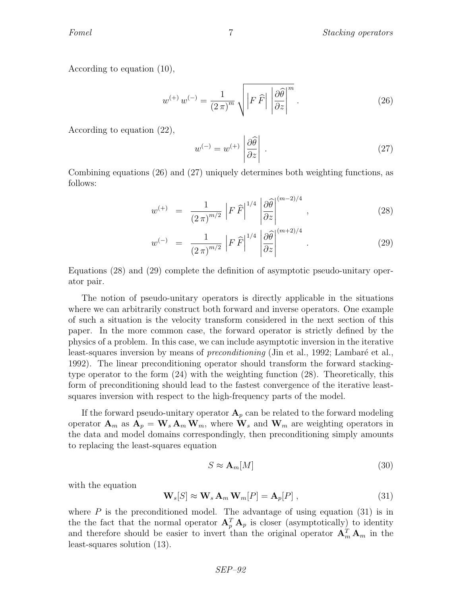According to equation (10),

$$
w^{(+)}w^{(-)} = \frac{1}{(2\pi)^m} \sqrt{\left|F\,\hat{F}\right| \left|\frac{\partial\hat{\theta}}{\partial z}\right|^m} \,. \tag{26}
$$

According to equation (22),

$$
w^{(-)} = w^{(+)} \left| \frac{\partial \widehat{\theta}}{\partial z} \right| \,. \tag{27}
$$

Combining equations (26) and (27) uniquely determines both weighting functions, as follows:

$$
w^{(+)} = \frac{1}{(2\pi)^{m/2}} \left| F \,\widehat{F} \right|^{1/4} \left| \frac{\partial \widehat{\theta}}{\partial z} \right|^{(m-2)/4}, \tag{28}
$$

$$
w^{(-)} = \frac{1}{(2\pi)^{m/2}} \left| F \,\hat{F} \right|^{1/4} \left| \frac{\partial \hat{\theta}}{\partial z} \right|^{(m+2)/4} . \tag{29}
$$

Equations (28) and (29) complete the definition of asymptotic pseudo-unitary operator pair.

The notion of pseudo-unitary operators is directly applicable in the situations where we can arbitrarily construct both forward and inverse operators. One example of such a situation is the velocity transform considered in the next section of this paper. In the more common case, the forward operator is strictly defined by the physics of a problem. In this case, we can include asymptotic inversion in the iterative least-squares inversion by means of *preconditioning* (Jin et al., 1992; Lambaré et al., 1992). The linear preconditioning operator should transform the forward stackingtype operator to the form (24) with the weighting function (28). Theoretically, this form of preconditioning should lead to the fastest convergence of the iterative leastsquares inversion with respect to the high-frequency parts of the model.

If the forward pseudo-unitary operator  $A_p$  can be related to the forward modeling operator  $\mathbf{A}_m$  as  $\mathbf{A}_p = \mathbf{W}_s \mathbf{A}_m \mathbf{W}_m$ , where  $\mathbf{W}_s$  and  $\mathbf{W}_m$  are weighting operators in the data and model domains correspondingly, then preconditioning simply amounts to replacing the least-squares equation

$$
S \approx \mathbf{A}_m[M] \tag{30}
$$

with the equation

$$
\mathbf{W}_s[S] \approx \mathbf{W}_s \, \mathbf{A}_m \, \mathbf{W}_m[P] = \mathbf{A}_p[P] \,, \tag{31}
$$

where  $P$  is the preconditioned model. The advantage of using equation (31) is in the the fact that the normal operator  $A_p^T A_p$  is closer (asymptotically) to identity and therefore should be easier to invert than the original operator  $\mathbf{A}_m^T \mathbf{A}_m$  in the least-squares solution (13).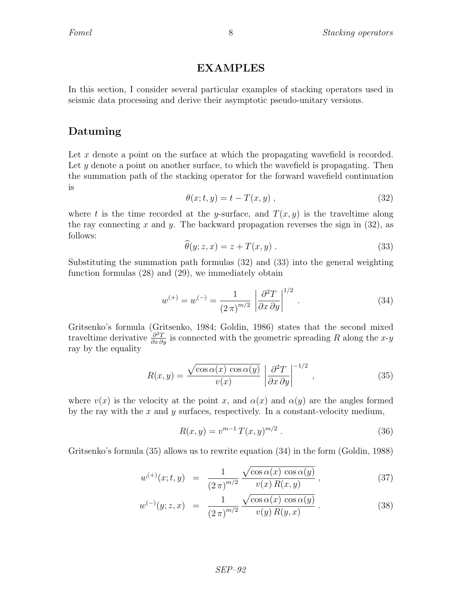## EXAMPLES

In this section, I consider several particular examples of stacking operators used in seismic data processing and derive their asymptotic pseudo-unitary versions.

## Datuming

Let x denote a point on the surface at which the propagating wavefield is recorded. Let y denote a point on another surface, to which the wavefield is propagating. Then the summation path of the stacking operator for the forward wavefield continuation is

$$
\theta(x;t,y) = t - T(x,y) \tag{32}
$$

where t is the time recorded at the y-surface, and  $T(x, y)$  is the traveltime along the ray connecting x and y. The backward propagation reverses the sign in  $(32)$ , as follows:  $\overline{\phantom{a}}$ 

$$
\widehat{\theta}(y; z, x) = z + T(x, y) \tag{33}
$$

Substituting the summation path formulas (32) and (33) into the general weighting function formulas (28) and (29), we immediately obtain

$$
w^{(+)} = w^{(-)} = \frac{1}{(2\pi)^{m/2}} \left| \frac{\partial^2 T}{\partial x \partial y} \right|^{1/2} . \tag{34}
$$

Gritsenko's formula (Gritsenko, 1984; Goldin, 1986) states that the second mixed traveltime derivative  $\frac{\partial^2 T}{\partial x \partial y}$  is connected with the geometric spreading R along the x-y ray by the equality

$$
R(x,y) = \frac{\sqrt{\cos \alpha(x) \cos \alpha(y)}}{v(x)} \left| \frac{\partial^2 T}{\partial x \partial y} \right|^{-1/2}, \qquad (35)
$$

where  $v(x)$  is the velocity at the point x, and  $\alpha(x)$  and  $\alpha(y)$  are the angles formed by the ray with the  $x$  and  $y$  surfaces, respectively. In a constant-velocity medium,

$$
R(x, y) = v^{m-1} T(x, y)^{m/2} . \tag{36}
$$

Gritsenko's formula (35) allows us to rewrite equation (34) in the form (Goldin, 1988)

$$
w^{(+)}(x;t,y) = \frac{1}{(2\pi)^{m/2}} \frac{\sqrt{\cos \alpha(x) \cos \alpha(y)}}{v(x) R(x,y)},
$$
\n(37)

$$
w^{(-)}(y;z,x) = \frac{1}{(2\pi)^{m/2}} \frac{\sqrt{\cos \alpha(x) \cos \alpha(y)}}{v(y) R(y,x)}.
$$
 (38)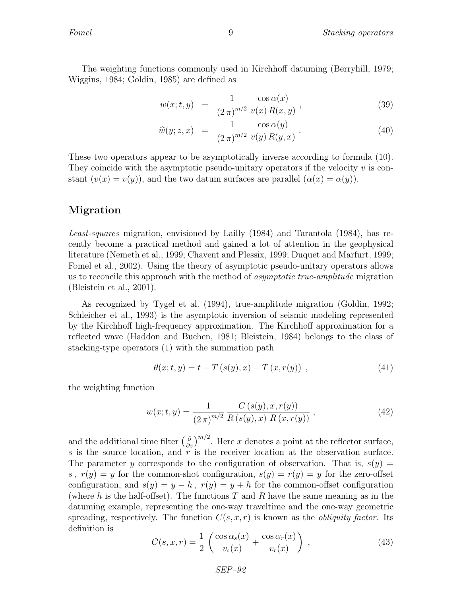The weighting functions commonly used in Kirchhoff datuming (Berryhill, 1979; Wiggins, 1984; Goldin, 1985) are defined as

$$
w(x;t,y) = \frac{1}{(2\pi)^{m/2}} \frac{\cos \alpha(x)}{v(x) R(x,y)},
$$
\n(39)

$$
\widehat{w}(y; z, x) = \frac{1}{(2\pi)^{m/2}} \frac{\cos \alpha(y)}{v(y) R(y, x)}.
$$
\n(40)

These two operators appear to be asymptotically inverse according to formula (10). They coincide with the asymptotic pseudo-unitary operators if the velocity  $v$  is constant  $(v(x) = v(y))$ , and the two datum surfaces are parallel  $(\alpha(x) = \alpha(y))$ .

## Migration

Least-squares migration, envisioned by Lailly (1984) and Tarantola (1984), has recently become a practical method and gained a lot of attention in the geophysical literature (Nemeth et al., 1999; Chavent and Plessix, 1999; Duquet and Marfurt, 1999; Fomel et al., 2002). Using the theory of asymptotic pseudo-unitary operators allows us to reconcile this approach with the method of asymptotic true-amplitude migration (Bleistein et al., 2001).

As recognized by Tygel et al. (1994), true-amplitude migration (Goldin, 1992; Schleicher et al., 1993) is the asymptotic inversion of seismic modeling represented by the Kirchhoff high-frequency approximation. The Kirchhoff approximation for a reflected wave (Haddon and Buchen, 1981; Bleistein, 1984) belongs to the class of stacking-type operators (1) with the summation path

$$
\theta(x; t, y) = t - T(s(y), x) - T(x, r(y)), \qquad (41)
$$

the weighting function

$$
w(x;t,y) = \frac{1}{(2\pi)^{m/2}} \frac{C(s(y),x,r(y))}{R(s(y),x) R(x,r(y))},
$$
\n(42)

and the additional time filter  $\left(\frac{\partial}{\partial z}\right)^{m/2}$ . Here x denotes a point at the reflector surface, s is the source location, and r is the receiver location at the observation surface. The parameter y corresponds to the configuration of observation. That is,  $s(y) =$ s,  $r(y) = y$  for the common-shot configuration,  $s(y) = r(y) = y$  for the zero-offset configuration, and  $s(y) = y - h$ ,  $r(y) = y + h$  for the common-offset configuration (where h is the half-offset). The functions  $T$  and  $R$  have the same meaning as in the datuming example, representing the one-way traveltime and the one-way geometric spreading, respectively. The function  $C(s, x, r)$  is known as the *obliquity factor*. Its definition is

$$
C(s,x,r) = \frac{1}{2} \left( \frac{\cos \alpha_s(x)}{v_s(x)} + \frac{\cos \alpha_r(x)}{v_r(x)} \right) , \qquad (43)
$$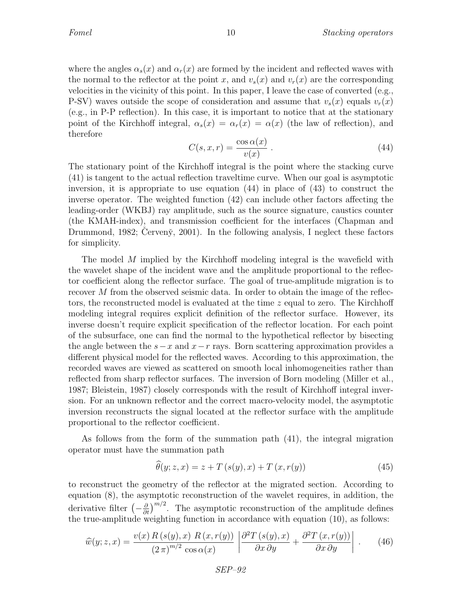where the angles  $\alpha_s(x)$  and  $\alpha_r(x)$  are formed by the incident and reflected waves with the normal to the reflector at the point x, and  $v_s(x)$  and  $v_r(x)$  are the corresponding velocities in the vicinity of this point. In this paper, I leave the case of converted (e.g., P-SV) waves outside the scope of consideration and assume that  $v_s(x)$  equals  $v_r(x)$ (e.g., in P-P reflection). In this case, it is important to notice that at the stationary point of the Kirchhoff integral,  $\alpha_s(x) = \alpha_r(x) = \alpha(x)$  (the law of reflection), and therefore

$$
C(s, x, r) = \frac{\cos \alpha(x)}{v(x)}.
$$
\n(44)

The stationary point of the Kirchhoff integral is the point where the stacking curve (41) is tangent to the actual reflection traveltime curve. When our goal is asymptotic inversion, it is appropriate to use equation (44) in place of (43) to construct the inverse operator. The weighted function (42) can include other factors affecting the leading-order (WKBJ) ray amplitude, such as the source signature, caustics counter (the KMAH-index), and transmission coefficient for the interfaces (Chapman and Drummond, 1982; Cerveny, 2001). In the following analysis, I neglect these factors for simplicity.

The model M implied by the Kirchhoff modeling integral is the wavefield with the wavelet shape of the incident wave and the amplitude proportional to the reflector coefficient along the reflector surface. The goal of true-amplitude migration is to recover M from the observed seismic data. In order to obtain the image of the reflectors, the reconstructed model is evaluated at the time z equal to zero. The Kirchhoff modeling integral requires explicit definition of the reflector surface. However, its inverse doesn't require explicit specification of the reflector location. For each point of the subsurface, one can find the normal to the hypothetical reflector by bisecting the angle between the  $s-x$  and  $x-r$  rays. Born scattering approximation provides a different physical model for the reflected waves. According to this approximation, the recorded waves are viewed as scattered on smooth local inhomogeneities rather than reflected from sharp reflector surfaces. The inversion of Born modeling (Miller et al., 1987; Bleistein, 1987) closely corresponds with the result of Kirchhoff integral inversion. For an unknown reflector and the correct macro-velocity model, the asymptotic inversion reconstructs the signal located at the reflector surface with the amplitude proportional to the reflector coefficient.

As follows from the form of the summation path (41), the integral migration operator must have the summation path

$$
\theta(y; z, x) = z + T(s(y), x) + T(x, r(y))
$$
\n(45)

to reconstruct the geometry of the reflector at the migrated section. According to equation (8), the asymptotic reconstruction of the wavelet requires, in addition, the derivative filter  $\left(-\frac{\partial}{\partial t}\right)^{m/2}$ . The asymptotic reconstruction of the amplitude defines the true-amplitude weighting function in accordance with equation (10), as follows:

$$
\widehat{w}(y; z, x) = \frac{v(x) R(s(y), x) R(x, r(y))}{(2\pi)^{m/2} \cos \alpha(x)} \left| \frac{\partial^2 T(s(y), x)}{\partial x \partial y} + \frac{\partial^2 T(x, r(y))}{\partial x \partial y} \right|.
$$
 (46)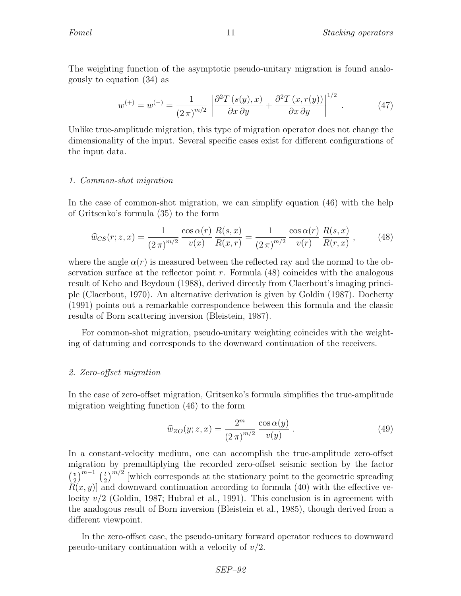The weighting function of the asymptotic pseudo-unitary migration is found analogously to equation (34) as

$$
w^{(+)} = w^{(-)} = \frac{1}{(2\pi)^{m/2}} \left| \frac{\partial^2 T(s(y), x)}{\partial x \partial y} + \frac{\partial^2 T(x, r(y))}{\partial x \partial y} \right|^{1/2} . \tag{47}
$$

Unlike true-amplitude migration, this type of migration operator does not change the dimensionality of the input. Several specific cases exist for different configurations of the input data.

#### 1. Common-shot migration

In the case of common-shot migration, we can simplify equation (46) with the help of Gritsenko's formula (35) to the form

$$
\widehat{w}_{CS}(r;z,x) = \frac{1}{(2\pi)^{m/2}} \frac{\cos \alpha(r)}{v(x)} \frac{R(s,x)}{R(x,r)} = \frac{1}{(2\pi)^{m/2}} \frac{\cos \alpha(r)}{v(r)} \frac{R(s,x)}{R(r,x)},\tag{48}
$$

where the angle  $\alpha(r)$  is measured between the reflected ray and the normal to the observation surface at the reflector point r. Formula  $(48)$  coincides with the analogous result of Keho and Beydoun (1988), derived directly from Claerbout's imaging principle (Claerbout, 1970). An alternative derivation is given by Goldin (1987). Docherty (1991) points out a remarkable correspondence between this formula and the classic results of Born scattering inversion (Bleistein, 1987).

For common-shot migration, pseudo-unitary weighting coincides with the weighting of datuming and corresponds to the downward continuation of the receivers.

#### 2. Zero-offset migration

In the case of zero-offset migration, Gritsenko's formula simplifies the true-amplitude migration weighting function (46) to the form

$$
\widehat{w}_{ZO}(y;z,x) = \frac{2^m}{(2\pi)^{m/2}} \frac{\cos \alpha(y)}{v(y)}.
$$
\n(49)

In a constant-velocity medium, one can accomplish the true-amplitude zero-offset migration by premultiplying the recorded zero-offset seismic section by the factor  $\frac{v}{2}$  $\left(\frac{v}{2}\right)^{m-1}$   $\left(\frac{t}{2}\right)$  $\frac{t}{2}$ )<sup> $m/2$ </sup> [which corresponds at the stationary point to the geometric spreading  $R(x, y)$  and downward continuation according to formula (40) with the effective velocity  $v/2$  (Goldin, 1987; Hubral et al., 1991). This conclusion is in agreement with the analogous result of Born inversion (Bleistein et al., 1985), though derived from a different viewpoint.

In the zero-offset case, the pseudo-unitary forward operator reduces to downward pseudo-unitary continuation with a velocity of  $v/2$ .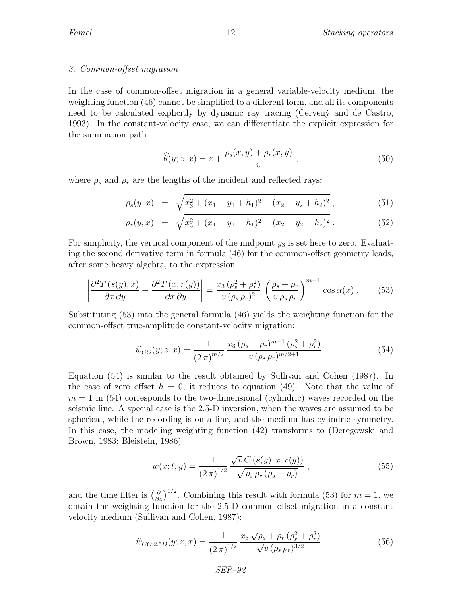#### 3. Common-offset migration

In the case of common-offset migration in a general variable-velocity medium, the weighting function (46) cannot be simplified to a different form, and all its components need to be calculated explicitly by dynamic ray tracing (Cerven $\check{y}$  and de Castro, 1993). In the constant-velocity case, we can differentiate the explicit expression for the summation path

$$
\widehat{\theta}(y; z, x) = z + \frac{\rho_s(x, y) + \rho_r(x, y)}{v}, \qquad (50)
$$

where  $\rho_s$  and  $\rho_r$  are the lengths of the incident and reflected rays:

$$
\rho_s(y, x) = \sqrt{x_3^2 + (x_1 - y_1 + h_1)^2 + (x_2 - y_2 + h_2)^2}, \tag{51}
$$

$$
\rho_r(y,x) = \sqrt{x_3^2 + (x_1 - y_1 - h_1)^2 + (x_2 - y_2 - h_2)^2}.
$$
\n(52)

For simplicity, the vertical component of the midpoint  $y_3$  is set here to zero. Evaluating the second derivative term in formula (46) for the common-offset geometry leads, after some heavy algebra, to the expression

$$
\left| \frac{\partial^2 T(s(y), x)}{\partial x \partial y} + \frac{\partial^2 T(x, r(y))}{\partial x \partial y} \right| = \frac{x_3 (\rho_s^2 + \rho_r^2)}{v (\rho_s \rho_r)^2} \left( \frac{\rho_s + \rho_r}{v \rho_s \rho_r} \right)^{m-1} \cos \alpha(x) . \tag{53}
$$

Substituting (53) into the general formula (46) yields the weighting function for the common-offset true-amplitude constant-velocity migration:

$$
\widehat{w}_{CO}(y;z,x) = \frac{1}{(2\pi)^{m/2}} \frac{x_3\left(\rho_s + \rho_r\right)^{m-1}\left(\rho_s^2 + \rho_r^2\right)}{v\left(\rho_s \rho_r\right)^{m/2+1}}\,. \tag{54}
$$

Equation (54) is similar to the result obtained by Sullivan and Cohen (1987). In the case of zero offset  $h = 0$ , it reduces to equation (49). Note that the value of  $m = 1$  in (54) corresponds to the two-dimensional (cylindric) waves recorded on the seismic line. A special case is the 2.5-D inversion, when the waves are assumed to be spherical, while the recording is on a line, and the medium has cylindric symmetry. In this case, the modeling weighting function (42) transforms to (Deregowski and Brown, 1983; Bleistein, 1986)

$$
w(x;t,y) = \frac{1}{(2\pi)^{1/2}} \frac{\sqrt{v} C(s(y), x, r(y))}{\sqrt{\rho_s \rho_r (\rho_s + \rho_r)}} ,
$$
\n(55)

and the time filter is  $\left(\frac{\partial}{\partial z}\right)^{1/2}$ . Combining this result with formula (53) for  $m=1$ , we obtain the weighting function for the 2.5-D common-offset migration in a constant velocity medium (Sullivan and Cohen, 1987):

$$
\widehat{w}_{CO;2.5D}(y;z,x) = \frac{1}{(2\,\pi)^{1/2}} \frac{x_3\,\sqrt{\rho_s + \rho_r}\,(\rho_s^2 + \rho_r^2)}{\sqrt{v}\,(\rho_s\,\rho_r)^{3/2}}\,. \tag{56}
$$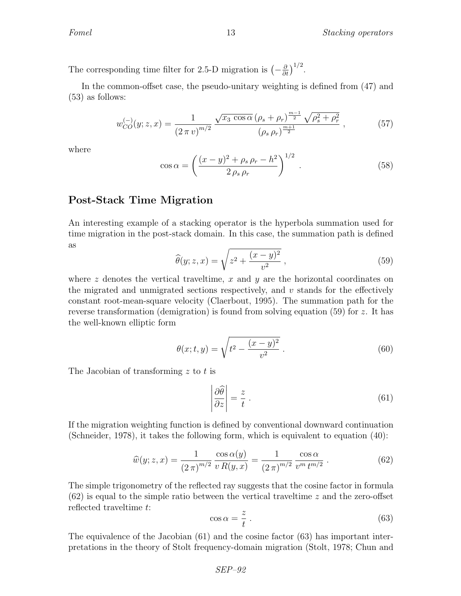The corresponding time filter for 2.5-D migration is  $\left(-\frac{\partial}{\partial t}\right)^{1/2}$ .

In the common-offset case, the pseudo-unitary weighting is defined from (47) and (53) as follows:

$$
w_{CO}^{(-)}(y;z,x) = \frac{1}{(2\pi v)^{m/2}} \frac{\sqrt{x_3 \cos \alpha} \left(\rho_s + \rho_r\right)^{\frac{m-1}{2}} \sqrt{\rho_s^2 + \rho_r^2}}{\left(\rho_s \rho_r\right)^{\frac{m+1}{2}}},\tag{57}
$$

where

$$
\cos \alpha = \left(\frac{(x-y)^2 + \rho_s \rho_r - h^2}{2 \rho_s \rho_r}\right)^{1/2}.
$$
\n(58)

### Post-Stack Time Migration

An interesting example of a stacking operator is the hyperbola summation used for time migration in the post-stack domain. In this case, the summation path is defined as

$$
\widehat{\theta}(y; z, x) = \sqrt{z^2 + \frac{(x - y)^2}{v^2}},
$$
\n(59)

where z denotes the vertical traveltime, x and y are the horizontal coordinates on the migrated and unmigrated sections respectively, and  $v$  stands for the effectively constant root-mean-square velocity (Claerbout, 1995). The summation path for the reverse transformation (demigration) is found from solving equation (59) for z. It has the well-known elliptic form

$$
\theta(x;t,y) = \sqrt{t^2 - \frac{(x-y)^2}{v^2}}.
$$
\n(60)

The Jacobian of transforming z to t is

$$
\left|\frac{\partial\widehat{\theta}}{\partial z}\right| = \frac{z}{t} \tag{61}
$$

If the migration weighting function is defined by conventional downward continuation (Schneider, 1978), it takes the following form, which is equivalent to equation (40):

$$
\widehat{w}(y; z, x) = \frac{1}{(2\pi)^{m/2}} \frac{\cos \alpha(y)}{v R(y, x)} = \frac{1}{(2\pi)^{m/2}} \frac{\cos \alpha}{v^m t^{m/2}}.
$$
(62)

The simple trigonometry of the reflected ray suggests that the cosine factor in formula  $(62)$  is equal to the simple ratio between the vertical traveltime z and the zero-offset reflected traveltime t:

$$
\cos \alpha = \frac{z}{t} \,. \tag{63}
$$

The equivalence of the Jacobian (61) and the cosine factor (63) has important interpretations in the theory of Stolt frequency-domain migration (Stolt, 1978; Chun and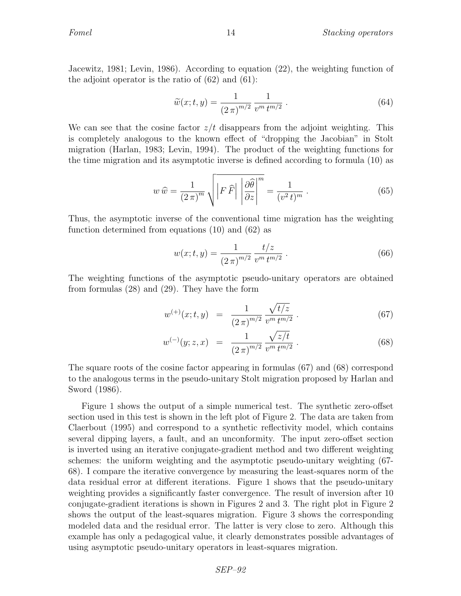Jacewitz, 1981; Levin, 1986). According to equation (22), the weighting function of the adjoint operator is the ratio of  $(62)$  and  $(61)$ :

$$
\widetilde{w}(x;t,y) = \frac{1}{(2\pi)^{m/2}} \frac{1}{v^m t^{m/2}}.
$$
\n(64)

We can see that the cosine factor  $z/t$  disappears from the adjoint weighting. This is completely analogous to the known effect of "dropping the Jacobian" in Stolt migration (Harlan, 1983; Levin, 1994). The product of the weighting functions for the time migration and its asymptotic inverse is defined according to formula (10) as

$$
w\,\widehat{w} = \frac{1}{(2\,\pi)^m} \sqrt{\left|F\,\widehat{F}\right| \left|\frac{\partial\widehat{\theta}}{\partial z}\right|^m} = \frac{1}{(v^2\,t)^m} \,. \tag{65}
$$

Thus, the asymptotic inverse of the conventional time migration has the weighting function determined from equations (10) and (62) as

$$
w(x;t,y) = \frac{1}{(2\pi)^{m/2}} \frac{t/z}{v^m t^{m/2}}.
$$
\n(66)

The weighting functions of the asymptotic pseudo-unitary operators are obtained from formulas (28) and (29). They have the form

$$
w^{(+)}(x;t,y) = \frac{1}{(2\pi)^{m/2}} \frac{\sqrt{t/z}}{v^m t^{m/2}}.
$$
 (67)

$$
w^{(-)}(y;z,x) = \frac{1}{(2\pi)^{m/2}} \frac{\sqrt{z/t}}{v^m t^{m/2}}.
$$
 (68)

The square roots of the cosine factor appearing in formulas (67) and (68) correspond to the analogous terms in the pseudo-unitary Stolt migration proposed by Harlan and Sword (1986).

Figure 1 shows the output of a simple numerical test. The synthetic zero-offset section used in this test is shown in the left plot of Figure 2. The data are taken from Claerbout (1995) and correspond to a synthetic reflectivity model, which contains several dipping layers, a fault, and an unconformity. The input zero-offset section is inverted using an iterative conjugate-gradient method and two different weighting schemes: the uniform weighting and the asymptotic pseudo-unitary weighting (67- 68). I compare the iterative convergence by measuring the least-squares norm of the data residual error at different iterations. Figure 1 shows that the pseudo-unitary weighting provides a significantly faster convergence. The result of inversion after 10 conjugate-gradient iterations is shown in Figures 2 and 3. The right plot in Figure 2 shows the output of the least-squares migration. Figure 3 shows the corresponding modeled data and the residual error. The latter is very close to zero. Although this example has only a pedagogical value, it clearly demonstrates possible advantages of using asymptotic pseudo-unitary operators in least-squares migration.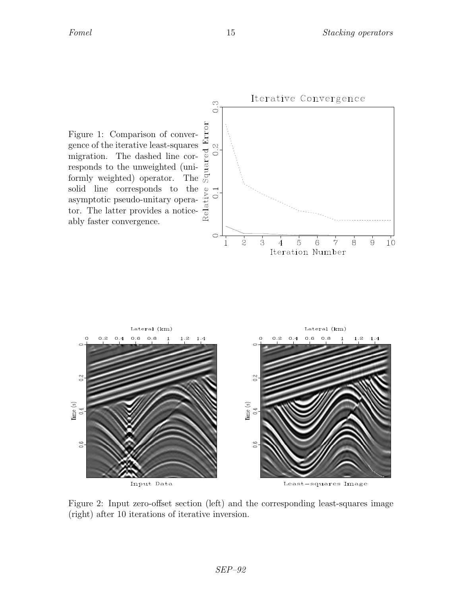

Figure 2: Input zero-offset section (left) and the corresponding least-squares image (right) after 10 iterations of iterative inversion.

Least-squares Image

Input Data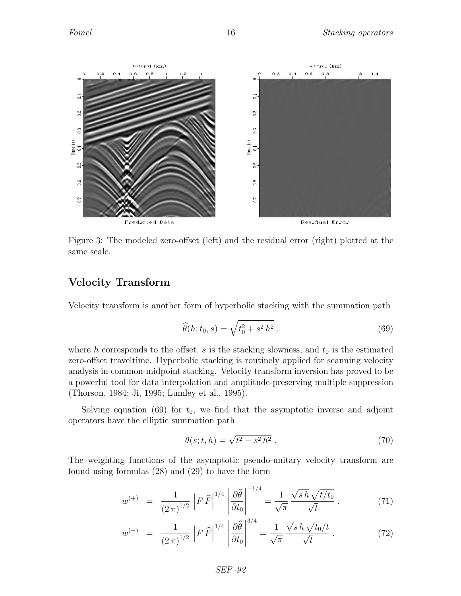

Figure 3: The modeled zero-offset (left) and the residual error (right) plotted at the same scale.

## Velocity Transform

Velocity transform is another form of hyperbolic stacking with the summation path

$$
\widehat{\theta}(h; t_0, s) = \sqrt{t_0^2 + s^2 h^2}, \qquad (69)
$$

where h corresponds to the offset, s is the stacking slowness, and  $t_0$  is the estimated zero-offset traveltime. Hyperbolic stacking is routinely applied for scanning velocity analysis in common-midpoint stacking. Velocity transform inversion has proved to be a powerful tool for data interpolation and amplitude-preserving multiple suppression (Thorson, 1984; Ji, 1995; Lumley et al., 1995).

Solving equation (69) for  $t_0$ , we find that the asymptotic inverse and adjoint operators have the elliptic summation path

$$
\theta(s; t, h) = \sqrt{t^2 - s^2 h^2} \,. \tag{70}
$$

The weighting functions of the asymptotic pseudo-unitary velocity transform are found using formulas (28) and (29) to have the form

$$
w^{(+)} = \frac{1}{(2\pi)^{1/2}} \left| F \,\hat{F} \right|^{1/4} \left| \frac{\partial \hat{\theta}}{\partial t_0} \right|^{-1/4} = \frac{1}{\sqrt{\pi}} \frac{\sqrt{s \, h} \sqrt{t/t_0}}{\sqrt{t}} \,. \tag{71}
$$

$$
w^{(-)} = \frac{1}{(2\pi)^{1/2}} \left| F \,\hat{F} \right|^{1/4} \left| \frac{\partial \hat{\theta}}{\partial t_0} \right|^{3/4} = \frac{1}{\sqrt{\pi}} \frac{\sqrt{s \, h} \sqrt{t_0/t}}{\sqrt{t}} \,. \tag{72}
$$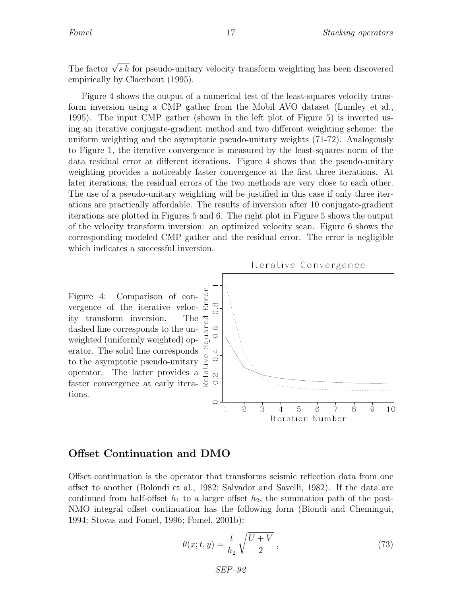The factor  $\sqrt{s h}$  for pseudo-unitary velocity transform weighting has been discovered empirically by Claerbout (1995).

Figure 4 shows the output of a numerical test of the least-squares velocity transform inversion using a CMP gather from the Mobil AVO dataset (Lumley et al., 1995). The input CMP gather (shown in the left plot of Figure 5) is inverted using an iterative conjugate-gradient method and two different weighting scheme: the uniform weighting and the asymptotic pseudo-unitary weights (71-72). Analogously to Figure 1, the iterative convergence is measured by the least-squares norm of the data residual error at different iterations. Figure 4 shows that the pseudo-unitary weighting provides a noticeably faster convergence at the first three iterations. At later iterations, the residual errors of the two methods are very close to each other. The use of a pseudo-unitary weighting will be justified in this case if only three iterations are practically affordable. The results of inversion after 10 conjugate-gradient iterations are plotted in Figures 5 and 6. The right plot in Figure 5 shows the output of the velocity transform inversion: an optimized velocity scan. Figure 6 shows the corresponding modeled CMP gather and the residual error. The error is negligible which indicates a successful inversion.



### Offset Continuation and DMO

Offset continuation is the operator that transforms seismic reflection data from one offset to another (Bolondi et al., 1982; Salvador and Savelli, 1982). If the data are continued from half-offset  $h_1$  to a larger offset  $h_2$ , the summation path of the post-NMO integral offset continuation has the following form (Biondi and Chemingui, 1994; Stovas and Fomel, 1996; Fomel, 2001b):

$$
\theta(x;t,y) = \frac{t}{h_2} \sqrt{\frac{U+V}{2}} \,,\tag{73}
$$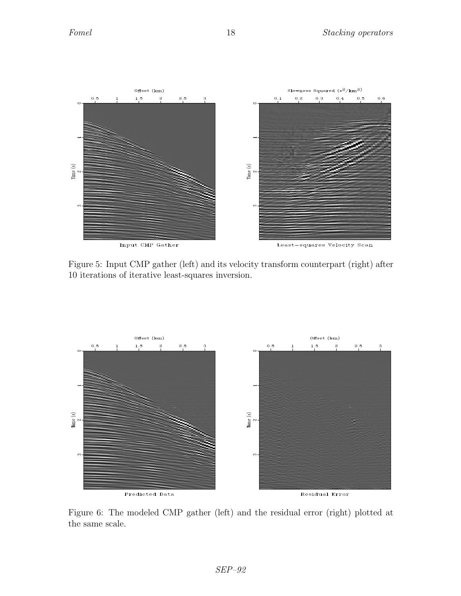

Figure 5: Input CMP gather (left) and its velocity transform counterpart (right) after 10 iterations of iterative least-squares inversion.



Figure 6: The modeled CMP gather (left) and the residual error (right) plotted at the same scale.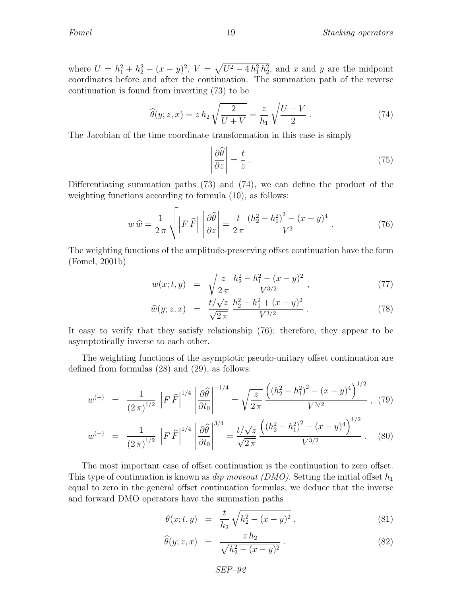where  $U = h_1^2 + h_2^2 - (x - y)^2$ ,  $V = \sqrt{U^2 - 4h_1^2h_2^2}$ , and x and y are the midpoint coordinates before and after the continuation. The summation path of the reverse continuation is found from inverting (73) to be

$$
\widehat{\theta}(y; z, x) = z h_2 \sqrt{\frac{2}{U+V}} = \frac{z}{h_1} \sqrt{\frac{U-V}{2}}.
$$
\n(74)

The Jacobian of the time coordinate transformation in this case is simply

 $\mid$  $\overline{\phantom{a}}$  $\overline{\phantom{a}}$ I  $\mid$ 

$$
\left. \frac{\partial \widehat{\theta}}{\partial z} \right| = \frac{t}{z} \tag{75}
$$

Differentiating summation paths (73) and (74), we can define the product of the weighting functions according to formula (10), as follows:

$$
w\,\widehat{w} = \frac{1}{2\,\pi} \sqrt{\left|F\,\widehat{F}\right|\left|\frac{\partial\widehat{\theta}}{\partial z}\right|} = \frac{t}{2\,\pi} \frac{\left(h_2^2 - h_1^2\right)^2 - (x - y)^4}{V^3} \,. \tag{76}
$$

The weighting functions of the amplitude-preserving offset continuation have the form (Fomel, 2001b)

$$
w(x;t,y) = \sqrt{\frac{z}{2\pi}} \frac{h_2^2 - h_1^2 - (x - y)^2}{V^{3/2}}, \qquad (77)
$$

$$
\widehat{w}(y; z, x) = \frac{t/\sqrt{z}}{\sqrt{2\pi}} \frac{h_2^2 - h_1^2 + (x - y)^2}{V^{3/2}} \,. \tag{78}
$$

It easy to verify that they satisfy relationship (76); therefore, they appear to be asymptotically inverse to each other.

The weighting functions of the asymptotic pseudo-unitary offset continuation are defined from formulas (28) and (29), as follows:

$$
w^{(+)} = \frac{1}{(2\pi)^{1/2}} \left| F \,\widehat{F} \right|^{1/4} \left| \frac{\partial \widehat{\theta}}{\partial t_0} \right|^{-1/4} = \sqrt{\frac{z}{2\pi}} \frac{\left( (h_2^2 - h_1^2)^2 - (x - y)^4 \right)^{1/2}}{V^{3/2}}, \tag{79}
$$

$$
w^{(-)} = \frac{1}{(2\pi)^{1/2}} \left| F \,\widehat{F} \right|^{1/4} \left| \frac{\partial \widehat{\theta}}{\partial t_0} \right|^{3/4} = \frac{t/\sqrt{z}}{\sqrt{2\pi}} \frac{\left( (h_2^2 - h_1^2)^2 - (x - y)^4 \right)^{1/2}}{V^{3/2}} \,. \tag{80}
$$

The most important case of offset continuation is the continuation to zero offset. This type of continuation is known as *dip moveout (DMO)*. Setting the initial offset  $h_1$ equal to zero in the general offset continuation formulas, we deduce that the inverse and forward DMO operators have the summation paths

$$
\theta(x;t,y) = \frac{t}{h_2} \sqrt{h_2^2 - (x-y)^2} \,, \tag{81}
$$

$$
\widehat{\theta}(y; z, x) = \frac{z h_2}{\sqrt{h_2^2 - (x - y)^2}}.
$$
\n(82)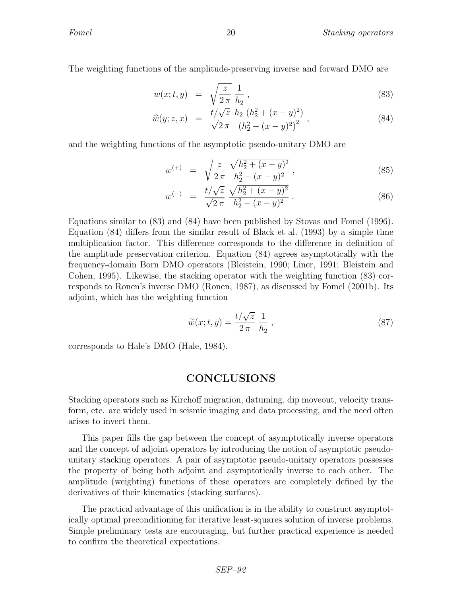The weighting functions of the amplitude-preserving inverse and forward DMO are

$$
w(x;t,y) = \sqrt{\frac{z}{2\pi}} \frac{1}{h_2},
$$
\n(83)

$$
\widehat{w}(y; z, x) = \frac{t/\sqrt{z}}{\sqrt{2\pi}} \frac{h_2 (h_2^2 + (x - y)^2)}{(h_2^2 - (x - y)^2)^2},
$$
\n(84)

and the weighting functions of the asymptotic pseudo-unitary DMO are

$$
w^{(+)} = \sqrt{\frac{z}{2\pi}} \frac{\sqrt{h_2^2 + (x - y)^2}}{h_2^2 - (x - y)^2},
$$
\n(85)

$$
w^{(-)} = \frac{t/\sqrt{z}}{\sqrt{2\pi}} \frac{\sqrt{h_2^2 + (x - y)^2}}{h_2^2 - (x - y)^2} \,. \tag{86}
$$

Equations similar to (83) and (84) have been published by Stovas and Fomel (1996). Equation (84) differs from the similar result of Black et al. (1993) by a simple time multiplication factor. This difference corresponds to the difference in definition of the amplitude preservation criterion. Equation (84) agrees asymptotically with the frequency-domain Born DMO operators (Bleistein, 1990; Liner, 1991; Bleistein and Cohen, 1995). Likewise, the stacking operator with the weighting function (83) corresponds to Ronen's inverse DMO (Ronen, 1987), as discussed by Fomel (2001b). Its adjoint, which has the weighting function

$$
\widetilde{w}(x;t,y) = \frac{t/\sqrt{z}}{2\pi} \frac{1}{h_2},\tag{87}
$$

corresponds to Hale's DMO (Hale, 1984).

### **CONCLUSIONS**

Stacking operators such as Kirchoff migration, datuming, dip moveout, velocity transform, etc. are widely used in seismic imaging and data processing, and the need often arises to invert them.

This paper fills the gap between the concept of asymptotically inverse operators and the concept of adjoint operators by introducing the notion of asymptotic pseudounitary stacking operators. A pair of asymptotic pseudo-unitary operators possesses the property of being both adjoint and asymptotically inverse to each other. The amplitude (weighting) functions of these operators are completely defined by the derivatives of their kinematics (stacking surfaces).

The practical advantage of this unification is in the ability to construct asymptotically optimal preconditioning for iterative least-squares solution of inverse problems. Simple preliminary tests are encouraging, but further practical experience is needed to confirm the theoretical expectations.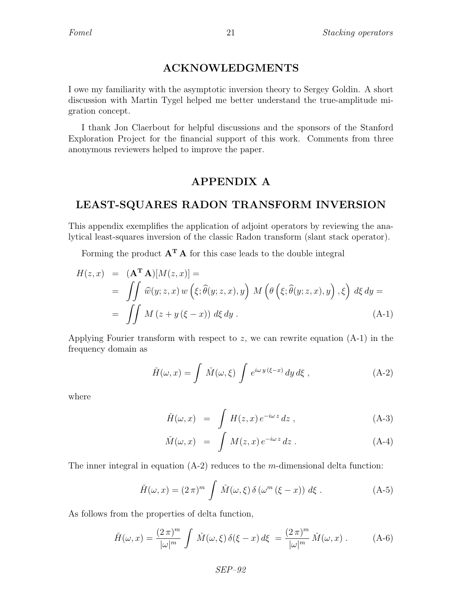## ACKNOWLEDGMENTS

I owe my familiarity with the asymptotic inversion theory to Sergey Goldin. A short discussion with Martin Tygel helped me better understand the true-amplitude migration concept.

I thank Jon Claerbout for helpful discussions and the sponsors of the Stanford Exploration Project for the financial support of this work. Comments from three anonymous reviewers helped to improve the paper.

### APPENDIX A

## LEAST-SQUARES RADON TRANSFORM INVERSION

This appendix exemplifies the application of adjoint operators by reviewing the analytical least-squares inversion of the classic Radon transform (slant stack operator).

Forming the product  $\mathbf{A}^{\mathbf{T}}\mathbf{A}$  for this case leads to the double integral

$$
H(z,x) = (\mathbf{A}^{\mathbf{T}} \mathbf{A})[M(z,x)] =
$$
  
= 
$$
\iint \widehat{w}(y; z, x) w(\xi; \widehat{\theta}(y; z, x), y) M(\theta(\xi; \widehat{\theta}(y; z, x), y), \xi) d\xi dy =
$$
  
= 
$$
\iint M(z + y(\xi - x)) d\xi dy.
$$
 (A-1)

Applying Fourier transform with respect to z, we can rewrite equation  $(A-1)$  in the frequency domain as

$$
\check{H}(\omega, x) = \int \check{M}(\omega, \xi) \int e^{i\omega y (\xi - x)} dy d\xi , \qquad (A-2)
$$

where

$$
\check{H}(\omega, x) = \int H(z, x) e^{-i\omega z} dz , \qquad (A-3)
$$

$$
\check{M}(\omega, x) = \int M(z, x) e^{-i\omega z} dz . \qquad (A-4)
$$

The inner integral in equation  $(A-2)$  reduces to the m-dimensional delta function:

$$
\check{H}(\omega, x) = (2\pi)^m \int \check{M}(\omega, \xi) \,\delta\left(\omega^m \left(\xi - x\right)\right) \,d\xi \,. \tag{A-5}
$$

As follows from the properties of delta function,

$$
\check{H}(\omega,x) = \frac{(2\,\pi)^m}{|\omega|^m} \int \check{M}(\omega,\xi) \,\delta(\xi-x) \,d\xi = \frac{(2\,\pi)^m}{|\omega|^m} \,\check{M}(\omega,x) \,. \tag{A-6}
$$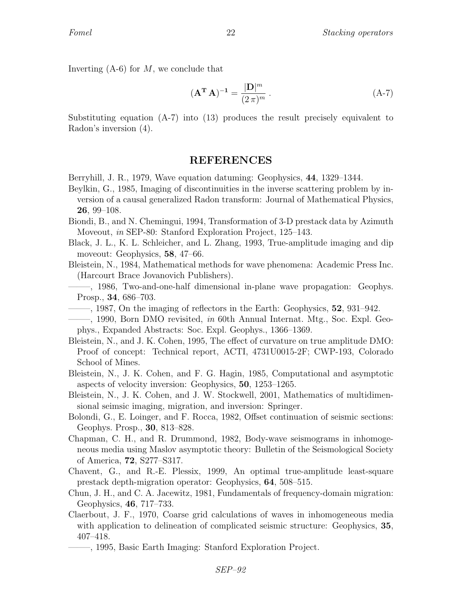Inverting  $(A-6)$  for M, we conclude that

$$
\left(\mathbf{A}^{\mathbf{T}}\,\mathbf{A}\right)^{-1} = \frac{|\mathbf{D}|^m}{(2\,\pi)^m} \,. \tag{A-7}
$$

Substituting equation (A-7) into (13) produces the result precisely equivalent to Radon's inversion (4).

### REFERENCES

- Berryhill, J. R., 1979, Wave equation datuming: Geophysics, 44, 1329–1344.
- Beylkin, G., 1985, Imaging of discontinuities in the inverse scattering problem by inversion of a causal generalized Radon transform: Journal of Mathematical Physics, 26, 99–108.
- Biondi, B., and N. Chemingui, 1994, Transformation of 3-D prestack data by Azimuth Moveout, in SEP-80: Stanford Exploration Project, 125–143.
- Black, J. L., K. L. Schleicher, and L. Zhang, 1993, True-amplitude imaging and dip moveout: Geophysics, 58, 47–66.
- Bleistein, N., 1984, Mathematical methods for wave phenomena: Academic Press Inc. (Harcourt Brace Jovanovich Publishers).
- ——–, 1986, Two-and-one-half dimensional in-plane wave propagation: Geophys. Prosp., 34, 686–703.
- $-$ , 1987, On the imaging of reflectors in the Earth: Geophysics, 52, 931–942.
- ——–, 1990, Born DMO revisited, in 60th Annual Internat. Mtg., Soc. Expl. Geophys., Expanded Abstracts: Soc. Expl. Geophys., 1366–1369.
- Bleistein, N., and J. K. Cohen, 1995, The effect of curvature on true amplitude DMO: Proof of concept: Technical report, ACTI, 4731U0015-2F; CWP-193, Colorado School of Mines.
- Bleistein, N., J. K. Cohen, and F. G. Hagin, 1985, Computational and asymptotic aspects of velocity inversion: Geophysics, 50, 1253–1265.
- Bleistein, N., J. K. Cohen, and J. W. Stockwell, 2001, Mathematics of multidimensional seimsic imaging, migration, and inversion: Springer.
- Bolondi, G., E. Loinger, and F. Rocca, 1982, Offset continuation of seismic sections: Geophys. Prosp., 30, 813–828.
- Chapman, C. H., and R. Drummond, 1982, Body-wave seismograms in inhomogeneous media using Maslov asymptotic theory: Bulletin of the Seismological Society of America, 72, S277–S317.
- Chavent, G., and R.-E. Plessix, 1999, An optimal true-amplitude least-square prestack depth-migration operator: Geophysics, 64, 508–515.
- Chun, J. H., and C. A. Jacewitz, 1981, Fundamentals of frequency-domain migration: Geophysics, 46, 717–733.
- Claerbout, J. F., 1970, Coarse grid calculations of waves in inhomogeneous media with application to delineation of complicated seismic structure: Geophysics, 35, 407–418.
	- ——–, 1995, Basic Earth Imaging: Stanford Exploration Project.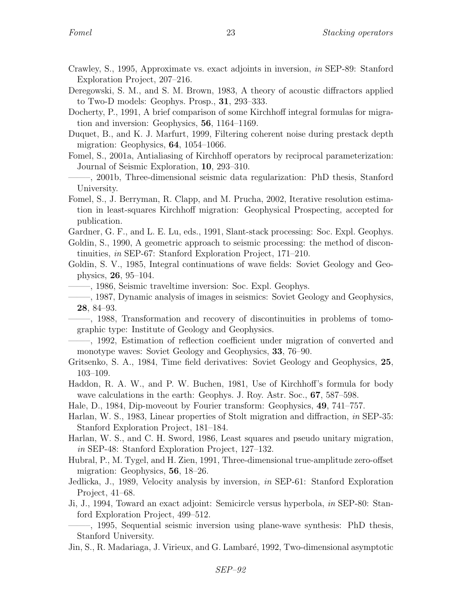- Crawley, S., 1995, Approximate vs. exact adjoints in inversion, in SEP-89: Stanford Exploration Project, 207–216.
- Deregowski, S. M., and S. M. Brown, 1983, A theory of acoustic diffractors applied to Two-D models: Geophys. Prosp., 31, 293–333.
- Docherty, P., 1991, A brief comparison of some Kirchhoff integral formulas for migration and inversion: Geophysics, 56, 1164–1169.
- Duquet, B., and K. J. Marfurt, 1999, Filtering coherent noise during prestack depth migration: Geophysics, 64, 1054–1066.
- Fomel, S., 2001a, Antialiasing of Kirchhoff operators by reciprocal parameterization: Journal of Seismic Exploration, 10, 293–310.
- ——–, 2001b, Three-dimensional seismic data regularization: PhD thesis, Stanford University.
- Fomel, S., J. Berryman, R. Clapp, and M. Prucha, 2002, Iterative resolution estimation in least-squares Kirchhoff migration: Geophysical Prospecting, accepted for publication.
- Gardner, G. F., and L. E. Lu, eds., 1991, Slant-stack processing: Soc. Expl. Geophys.
- Goldin, S., 1990, A geometric approach to seismic processing: the method of discontinuities, in SEP-67: Stanford Exploration Project, 171–210.

Goldin, S. V., 1985, Integral continuations of wave fields: Soviet Geology and Geophysics, 26, 95–104.

- ——–, 1986, Seismic traveltime inversion: Soc. Expl. Geophys.
- ——–, 1987, Dynamic analysis of images in seismics: Soviet Geology and Geophysics, 28, 84–93.
- ——–, 1988, Transformation and recovery of discontinuities in problems of tomographic type: Institute of Geology and Geophysics.
- ——–, 1992, Estimation of reflection coefficient under migration of converted and monotype waves: Soviet Geology and Geophysics, 33, 76–90.
- Gritsenko, S. A., 1984, Time field derivatives: Soviet Geology and Geophysics, 25, 103–109.
- Haddon, R. A. W., and P. W. Buchen, 1981, Use of Kirchhoff's formula for body wave calculations in the earth: Geophys. J. Roy. Astr. Soc., 67, 587–598.
- Hale, D., 1984, Dip-moveout by Fourier transform: Geophysics, 49, 741–757.
- Harlan, W. S., 1983, Linear properties of Stolt migration and diffraction, in SEP-35: Stanford Exploration Project, 181–184.
- Harlan, W. S., and C. H. Sword, 1986, Least squares and pseudo unitary migration, in SEP-48: Stanford Exploration Project, 127–132.
- Hubral, P., M. Tygel, and H. Zien, 1991, Three-dimensional true-amplitude zero-offset migration: Geophysics, 56, 18–26.
- Jedlicka, J., 1989, Velocity analysis by inversion, in SEP-61: Stanford Exploration Project, 41–68.
- Ji, J., 1994, Toward an exact adjoint: Semicircle versus hyperbola, in SEP-80: Stanford Exploration Project, 499–512.
- ——–, 1995, Sequential seismic inversion using plane-wave synthesis: PhD thesis, Stanford University.
- Jin, S., R. Madariaga, J. Virieux, and G. Lambaré, 1992, Two-dimensional asymptotic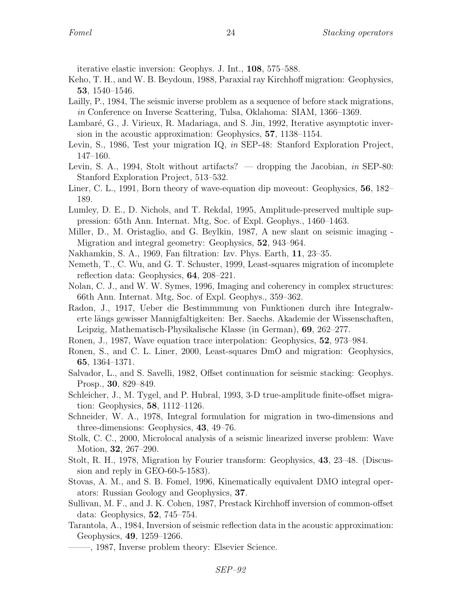iterative elastic inversion: Geophys. J. Int., 108, 575–588.

- Keho, T. H., and W. B. Beydoun, 1988, Paraxial ray Kirchhoff migration: Geophysics, 53, 1540–1546.
- Lailly, P., 1984, The seismic inverse problem as a sequence of before stack migrations, in Conference on Inverse Scattering, Tulsa, Oklahoma: SIAM, 1366–1369.
- Lambaré, G., J. Virieux, R. Madariaga, and S. Jin, 1992, Iterative asymptotic inversion in the acoustic approximation: Geophysics, 57, 1138–1154.
- Levin, S., 1986, Test your migration IQ, in SEP-48: Stanford Exploration Project, 147–160.
- Levin, S. A., 1994, Stolt without artifacts? dropping the Jacobian, in SEP-80: Stanford Exploration Project, 513–532.
- Liner, C. L., 1991, Born theory of wave-equation dip moveout: Geophysics, 56, 182– 189.
- Lumley, D. E., D. Nichols, and T. Rekdal, 1995, Amplitude-preserved multiple suppression: 65th Ann. Internat. Mtg, Soc. of Expl. Geophys., 1460–1463.
- Miller, D., M. Oristaglio, and G. Beylkin, 1987, A new slant on seismic imaging Migration and integral geometry: Geophysics, 52, 943–964.
- Nakhamkin, S. A., 1969, Fan filtration: Izv. Phys. Earth, 11, 23–35.
- Nemeth, T., C. Wu, and G. T. Schuster, 1999, Least-squares migration of incomplete reflection data: Geophysics, 64, 208–221.
- Nolan, C. J., and W. W. Symes, 1996, Imaging and coherency in complex structures: 66th Ann. Internat. Mtg, Soc. of Expl. Geophys., 359–362.
- Radon, J., 1917, Ueber die Bestimmmung von Funktionen durch ihre Integralwerte längs gewisser Mannigfaltigkeiten: Ber. Saechs. Akademie der Wissenschaften, Leipzig, Mathematisch-Physikalische Klasse (in German), 69, 262–277.
- Ronen, J., 1987, Wave equation trace interpolation: Geophysics, 52, 973–984.
- Ronen, S., and C. L. Liner, 2000, Least-squares DmO and migration: Geophysics, 65, 1364–1371.
- Salvador, L., and S. Savelli, 1982, Offset continuation for seismic stacking: Geophys. Prosp., 30, 829–849.
- Schleicher, J., M. Tygel, and P. Hubral, 1993, 3-D true-amplitude finite-offset migration: Geophysics, 58, 1112–1126.
- Schneider, W. A., 1978, Integral formulation for migration in two-dimensions and three-dimensions: Geophysics, 43, 49–76.
- Stolk, C. C., 2000, Microlocal analysis of a seismic linearized inverse problem: Wave Motion, 32, 267–290.
- Stolt, R. H., 1978, Migration by Fourier transform: Geophysics, 43, 23–48. (Discussion and reply in GEO-60-5-1583).
- Stovas, A. M., and S. B. Fomel, 1996, Kinematically equivalent DMO integral operators: Russian Geology and Geophysics, 37.
- Sullivan, M. F., and J. K. Cohen, 1987, Prestack Kirchhoff inversion of common-offset data: Geophysics, 52, 745–754.
- Tarantola, A., 1984, Inversion of seismic reflection data in the acoustic approximation: Geophysics, 49, 1259–1266.
	- ——–, 1987, Inverse problem theory: Elsevier Science.